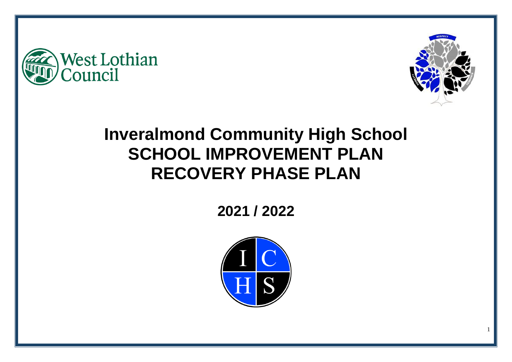



# **Inveralmond Community High School SCHOOL IMPROVEMENT PLAN RECOVERY PHASE PLAN**

**2021 / 2022**

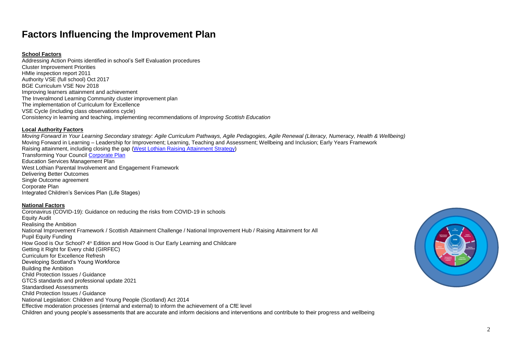# **Factors Influencing the Improvement Plan**

#### **School Factors**

Addressing Action Points identified in school's Self Evaluation procedures Cluster Improvement Priorities HMIe inspection report 2011 Authority VSE (full school) Oct 2017 BGE Curriculum VSE Nov 2018 Improving learners attainment and achievement The Inveralmond Learning Community cluster improvement plan The implementation of Curriculum for Excellence VSE Cycle (including class observations cycle) Consistency in learning and teaching, implementing recommendations of *Improving Scottish Education*

#### **Local Authority Factors**

*Moving Forward in Your Learning Secondary strategy: Agile Curriculum Pathways, Agile Pedagogies, Agile Renewal (Literacy, Numeracy, Health & Wellbeing)* Moving Forward in Learning – Leadership for Improvement; Learning, Teaching and Assessment; Wellbeing and Inclusion; Early Years Framework Raising attainment, including closing the gap [\(West Lothian Raising Attainment Strategy\)](https://www.westlothian.gov.uk/media/29938/Raising-Attainment-Strategy-201819-to-202223/pdf/Raising_Attainment_Strategy.pdf) Transforming Your Council [Corporate Plan](https://www.westlothian.gov.uk/media/19488/Corporate-Plan-2018-2023/pdf/Corporate_Plan_2018_to_2023.pdf) Education Services Management Plan West Lothian Parental Involvement and Engagement Framework Delivering Better Outcomes Single Outcome agreement Corporate Plan Integrated Children's Services Plan (Life Stages)

#### **National Factors**

Coronavirus (COVID-19): Guidance on reducing the risks from COVID-19 in schools Equity Audit Realising the Ambition National Improvement Framework / Scottish Attainment Challenge / National Improvement Hub / Raising Attainment for All Pupil Equity Funding How Good is Our School? 4<sup>th</sup> Edition and How Good is Our Early Learning and Childcare Getting it Right for Every child (GIRFEC) Curriculum for Excellence Refresh Developing Scotland's Young Workforce Building the Ambition Child Protection Issues / Guidance GTCS standards and professional update 2021 Standardised Assessments Child Protection Issues / Guidance National Legislation: Children and Young People (Scotland) Act 2014 Effective moderation processes (internal and external) to inform the achievement of a CfE level Children and young people's assessments that are accurate and inform decisions and interventions and contribute to their progress and wellbeing

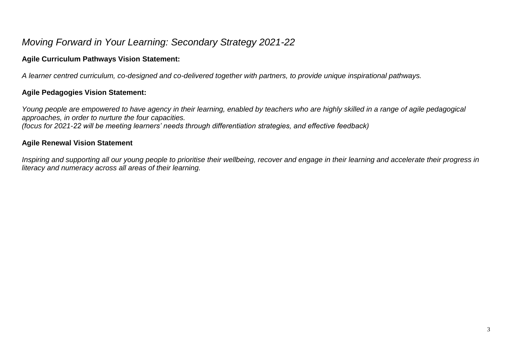# *Moving Forward in Your Learning: Secondary Strategy 2021-22*

### **Agile Curriculum Pathways Vision Statement:**

*A learner centred curriculum, co-designed and co-delivered together with partners, to provide unique inspirational pathways.*

### **Agile Pedagogies Vision Statement:**

Young people are empowered to have agency in their learning, enabled by teachers who are highly skilled in a range of agile pedagogical *approaches, in order to nurture the four capacities.*

*(focus for 2021-22 will be meeting learners' needs through differentiation strategies, and effective feedback)*

### **Agile Renewal Vision Statement**

*Inspiring and supporting all our young people to prioritise their wellbeing, recover and engage in their learning and accelerate their progress in literacy and numeracy across all areas of their learning.*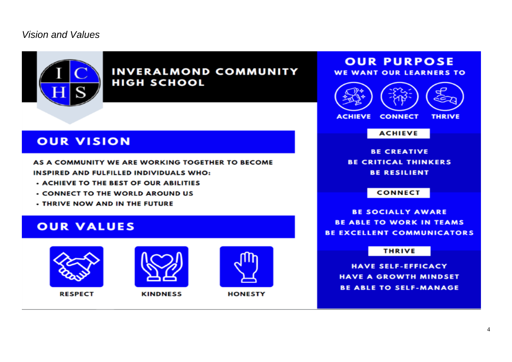## *Vision and Values*



**INVERALMOND COMMUNITY HIGH SCHOOL** 

# **OUR VISION**

AS A COMMUNITY WE ARE WORKING TOGETHER TO BECOME INSPIRED AND FULFILLED INDIVIDUALS WHO:

- **. ACHIEVE TO THE BEST OF OUR ABILITIES**
- **CONNECT TO THE WORLD AROUND US**
- **THRIVE NOW AND IN THE FUTURE**

# **OUR VALUES**



**RESPECT** 



**KINDNESS** 



**HONESTY** 

# **OUR PURPOSE**



**ACHIEVE** 

**BE CREATIVE BE CRITICAL THINKERS BE RESILIENT** 

**CONNECT** 

**BE SOCIALLY AWARE BE ABLE TO WORK IN TEAMS BE EXCELLENT COMMUNICATORS** 

#### **THRIVE**

**HAVE SELF-EFFICACY HAVE A GROWTH MINDSET BE ABLE TO SELF-MANAGE**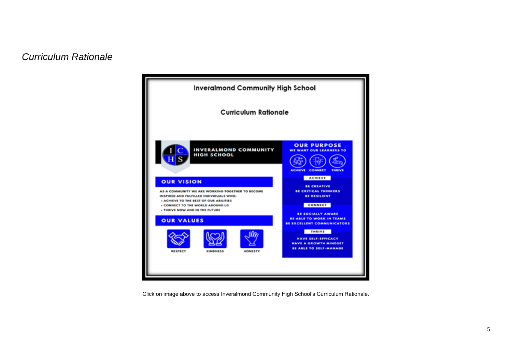### *Curriculum Rationale*



Click on image above to access Inveralmond Community High School's Curriculum Rationale.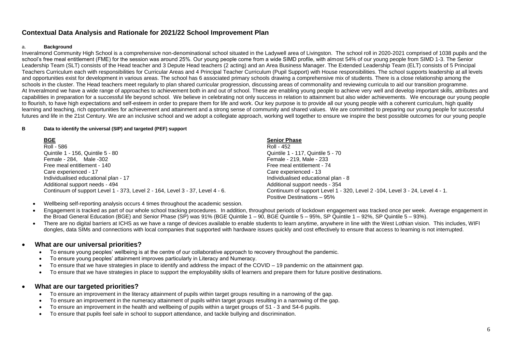### **Contextual Data Analysis and Rationale for 2021/22 School Improvement Plan**

#### a. **Background**

Inveralmond Community High School is a comprehensive non-denominational school situated in the Ladywell area of Livingston. The school roll in 2020-2021 comprised of 1038 pupils and the school's free meal entitlement (FME) for the session was around 25%. Our young people come from a wide SIMD profile, with almost 54% of our young people from SIMD 1-3. The Senior Leadership Team (SLT) consists of the Head teacher and 3 Depute Head teachers (2 acting) and an Area Business Manager. The Extended Leadership Team (ELT) consists of 5 Principal Teachers Curriculum each with responsibilities for Curricular Areas and 4 Principal Teacher Curriculum (Pupil Support) with House responsibilities. The school supports leadership at all levels and opportunities exist for development in various areas. The school has 6 associated primary schools drawing a comprehensive mix of students. There is a close relationship among the schools in the cluster. The Head teachers meet regularly to plan shared curricular progression, discussing areas of commonality and reviewing curricula to aid our transition programme. At Inveralmond we have a wide range of approaches to achievement both in and out of school. These are enabling young people to achieve very well and develop important skills, attributes and capabilities in preparation for a successful life beyond school. We believe in celebrating not only success in relation to attainment but also wider achievements. We encourage our young people to flourish, to have high expectations and self-esteem in order to prepare them for life and work. Our key purpose is to provide all our young people with a coherent curriculum, high quality learning and teaching, rich opportunities for achievement and attainment and a strong sense of community and shared values. We are committed to preparing our young people for successful futures and life in the 21st Century. We are an inclusive school and we adopt a collegiate approach, working well together to ensure we inspire the best possible outcomes for our young people

#### **B Data to identify the universal (SIP) and targeted (PEF) support**

| <u>BGE</u>                                                                    | <b>Senior Phase</b>                                                          |
|-------------------------------------------------------------------------------|------------------------------------------------------------------------------|
| Roll - 586                                                                    | Roll - 452                                                                   |
| Quintile 1 - 156, Quintile 5 - 80                                             | Quintile 1 - 117, Quintile 5 - 70                                            |
| Female - 284. Male - 302                                                      | Female - 219, Male - 233                                                     |
| Free meal entitlement - 140                                                   | Free meal entitlement - 74                                                   |
| Care experienced - 17                                                         | Care experienced - 13                                                        |
| Individualised educational plan - 17                                          | Individualised educational plan - 8                                          |
| Additional support needs - 494                                                | Additional support needs - 354                                               |
| Continuum of support Level 1 - 373, Level 2 - 164, Level 3 - 37, Level 4 - 6. | Continuum of support Level 1 - 320, Level 2 -104, Level 3 - 24, Level 4 - 1. |
|                                                                               | Positive Destinations - 95%                                                  |

- Wellbeing self-reporting analysis occurs 4 times throughout the academic session.
- Engagement is tracked as part of our whole school tracking procedures. In addition, throughout periods of lockdown engagement was tracked once per week. Average engagement in the Broad General Education (BGE) and Senior Phase (SP) was 91% (BGE Quintile 1 – 90, BGE Quintile 5 – 95%, SP Quintile 1 – 92%, SP Quintile 5 – 93%).
- There are no digital barriers at ICHS as we have a range of devices available to enable students to learn anytime, anywhere in line with the West Lothian vision. This includes, WIFI dongles, data SIMs and connections with local companies that supported with hardware issues quickly and cost effectively to ensure that access to learning is not interrupted.

#### **What are our universal priorities?**

- To ensure young peoples' wellbeing is at the centre of our collaborative approach to recovery throughout the pandemic.
- To ensure young peoples' attainment improves particularly in Literacy and Numeracy.
- To ensure that we have strategies in place to identify and address the impact of the COVID 19 pandemic on the attainment gap.
- To ensure that we have strategies in place to support the employability skills of learners and prepare them for future positive destinations.

#### **What are our targeted priorities?**

- To ensure an improvement in the literacy attainment of pupils within target groups resulting in a narrowing of the gap.
- To ensure an improvement in the numeracy attainment of pupils within target groups resulting in a narrowing of the gap.
- To ensure an improvement in the health and wellbeing of pupils within a target groups of S1 3 and S4-6 pupils.
- To ensure that pupils feel safe in school to support attendance, and tackle bullying and discrimination.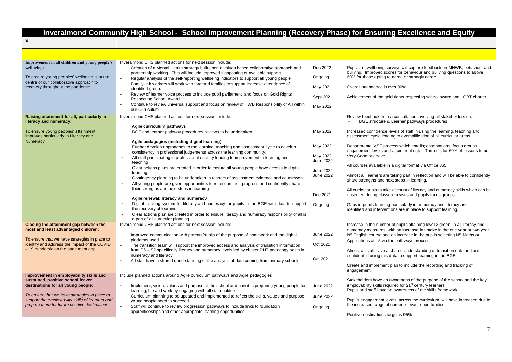# **Inveralmond Community High School - School Improvement Planning (Recovery Phase) for Ensuring Excellence and Equity**

| X                                                                                                                                                                                                                                                                 |                                                                                                                                                                                                                                                                                                                                                                                                                                                                                                                                                                                                                                                                                                                                                                                                                                                                                                                                                                                                                                                                                                                                                           |                                                                                                       |                                                                                                                                                                                                                                                                                                                                                                                                                                                                                                                                                                                                                                                                                                                                                                                                                                                                                                                                       |
|-------------------------------------------------------------------------------------------------------------------------------------------------------------------------------------------------------------------------------------------------------------------|-----------------------------------------------------------------------------------------------------------------------------------------------------------------------------------------------------------------------------------------------------------------------------------------------------------------------------------------------------------------------------------------------------------------------------------------------------------------------------------------------------------------------------------------------------------------------------------------------------------------------------------------------------------------------------------------------------------------------------------------------------------------------------------------------------------------------------------------------------------------------------------------------------------------------------------------------------------------------------------------------------------------------------------------------------------------------------------------------------------------------------------------------------------|-------------------------------------------------------------------------------------------------------|---------------------------------------------------------------------------------------------------------------------------------------------------------------------------------------------------------------------------------------------------------------------------------------------------------------------------------------------------------------------------------------------------------------------------------------------------------------------------------------------------------------------------------------------------------------------------------------------------------------------------------------------------------------------------------------------------------------------------------------------------------------------------------------------------------------------------------------------------------------------------------------------------------------------------------------|
|                                                                                                                                                                                                                                                                   |                                                                                                                                                                                                                                                                                                                                                                                                                                                                                                                                                                                                                                                                                                                                                                                                                                                                                                                                                                                                                                                                                                                                                           |                                                                                                       |                                                                                                                                                                                                                                                                                                                                                                                                                                                                                                                                                                                                                                                                                                                                                                                                                                                                                                                                       |
| Improvement in all children and young people's<br>wellbeing:<br>To ensure young peoples' wellbeing is at the<br>centre of our collaborative approach to<br>recovery throughout the pandemic.                                                                      | Inveralmond CHS planned actions for next session include:<br>Creation of a Mental Health strategy built upon a values based collaborative approach and<br>partnership working. This will include improved signposting of available support.<br>Regular analysis of the self-reporting wellbeing indicators to support all young people<br>Family link workers will work with targeted families to support increase attendance of<br>identified group.<br>Review of learner voice process to include pupil parliament and focus on Gold Rights<br>Respecting School Award<br>Continue to review universal support and focus on review of HWB Responsibility of All within<br>our Curriculum                                                                                                                                                                                                                                                                                                                                                                                                                                                                | Dec 2022<br>Ongoing<br>May 202<br>Sept 2021<br>May 2022                                               | Pupil/staff wellbeing surveys will capture feedback on MHWB, behaviour and<br>bullying. Improved scores for behaviour and bullying questions to above<br>60% for those opting to agree or strongly agree.<br>Overall attendance is over 90%<br>Achievement of the gold rights respecting school award and LGBT charter.                                                                                                                                                                                                                                                                                                                                                                                                                                                                                                                                                                                                               |
| Raising attainment for all, particularly in<br>literacy and numeracy:<br>To ensure young peoples' attainment<br>improves particularly in Literacy and<br>Numeracy.                                                                                                | Inveralmond CHS planned actions for next session include:<br>Agile curriculum pathways<br>BGE and learner pathway procedures reviews to be undertaken<br>$\sim$<br>Agile pedagogies (including digital learning)<br>Further develop approaches to the learning, teaching and assessment cycle to develop<br>consistency in professional judgements across the learning community.<br>All staff participating in professional enguiry leading to improvement in learning and<br>teaching<br>Clear actions plans are created in order to ensure all young people have access to digital<br>learning.<br>Contingency planning to be undertaken in respect of assessment evidence and coursework.<br>All young people are given opportunities to reflect on their progress and confidently share<br>their strengths and next steps in learning<br>Agile renewal: literacy and numeracy<br>Digital tracking system for literacy and numeracy for pupils in the BGE with data to support<br>the recovery of learning.<br>Clear actions plan are created in order to ensure literacy and numeracy responsibility of all is<br>a part of all curricular planning. | May 2022<br>May 2022<br>May 2022<br>June 2022<br>June 2022<br><b>June 2022</b><br>Dec 2021<br>Ongoing | Review feedback from a consultation involving all stakeholders on:<br>BGE structure & Learner pathways procedures<br>Increased confidence levels of staff in using the learning, teaching and<br>assessment cycle leading to exemplification of all curricular areas<br>Departmental VSE process which entails; observations, focus groups,<br>engagement levels and attainment data. Target is for 60% of lessons to be<br>Very Good or above.<br>All courses available in a digital format via Office 365<br>Almost all learners are taking part in reflection and will be able to confidently<br>share strengths and next steps in learning.<br>All curricular plans take account of literacy and numeracy skills which can be<br>observed during classroom visits and pupils focus groups.<br>Gaps in pupils learning particularly in numeracy and literacy are<br>identified and interventions are in place to support learning. |
| Closing the attainment gap between the<br>most and least advantaged children:<br>To ensure that we have strategies in place to<br>identify and address the impact of the COVID<br>- 19 pandemic on the attainment gap.<br>Improvement in employability skills and | Inveralmond CHS planned actions for next session include:<br>Improved communication with parents/pupils of the purpose of homework and the digital<br>platforms used<br>The transition team will support the improved access and analysis of transition information<br>from P6 - S2 specifically literacy and numeracy levels led by cluster DHT pedagogy posts in<br>numeracy and literacy.<br>All staff have a shared understanding of the analysis of data coming from primary schools.<br>Include planned actions around Agile curriculum pathways and Agile pedagogies                                                                                                                                                                                                                                                                                                                                                                                                                                                                                                                                                                               | <b>June 2022</b><br>Oct 2021<br>Oct 2021                                                              | Increase in the number of pupils attaining level 3 green, in all literacy and<br>numeracy measures, with an increase in uptake in the one year or two-year<br>N5 English course and an increase in the pupils selecting N5 Maths or<br>Applications at L5 via the pathways process.<br>Almost all staff have a shared understanding of transition data and are<br>confident in using this data to support learning in the BGE<br>Create and implement plan to include the recording and tracking of<br>engagement.                                                                                                                                                                                                                                                                                                                                                                                                                    |
| sustained, positive school leaver<br>destinations for all young people:<br>To ensure that we have strategies in place to<br>support the employability skills of learners and<br>prepare them for future positive destinations.                                    | Implement, vision, values and purpose of the school and how it is preparing young people for<br>learning, life and work by engaging with all stakeholders.<br>Curriculum planning to be updated and implemented to reflect the skills, values and purpose<br>young people need to succeed.<br>Staff will continue to review progression pathways to include links to foundation<br>apprenticeships and other appropriate learning opportunities                                                                                                                                                                                                                                                                                                                                                                                                                                                                                                                                                                                                                                                                                                           | June 2022<br><b>June 2022</b><br>Ongoing                                                              | Stakeholders have an awareness of the purpose of the school and the key<br>employability skills required for 21 <sup>st</sup> century learners.<br>Pupils and staff have an awareness of the skills framework.<br>Pupil's engagement levels, across the curriculum, will have increased due to<br>the increased range of career relevant opportunities.<br>Positive destinations target is 95%                                                                                                                                                                                                                                                                                                                                                                                                                                                                                                                                        |